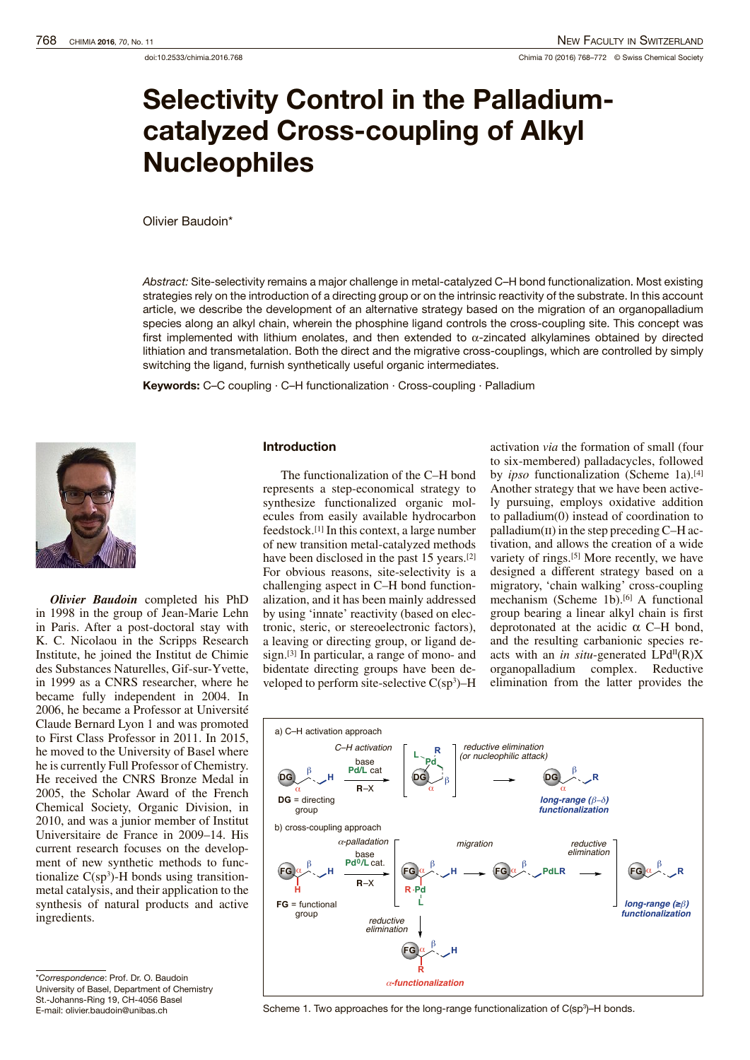# Selectivity Control in the Palladiumcatalyzed Cross-coupling of Alkyl Nucleophiles

Olivier Baudoin\*

Abstract: Site-selectivity remains a major challenge in metal-catalyzed C–H bond functionalization. Most existing strategies rely on the introduction of a directing group or on the intrinsic reactivity of the substrate. In this account article, we describe the development of an alternative strategy based on the migration of an organopalladium species along an alkyl chain, wherein the phosphine ligand controls the cross-coupling site. This concept was first implemented with lithium enolates, and then extended to  $\alpha$ -zincated alkylamines obtained by directed lithiation and transmetalation. Both the direct and the migrative cross-couplings, which are controlled by simply switching the ligand, furnish synthetically useful organic intermediates.

Keywords: C–C coupling · C–H functionalization · Cross-coupling · Palladium



*Olivier Baudoin* completed his PhD in 1998 in the group of Jean-Marie Lehn in Paris. After a post-doctoral stay with K. C. Nicolaou in the Scripps Research Institute, he joined the Institut de Chimie des Substances Naturelles, Gif-sur-Yvette, in 1999 as a CNRS researcher, where he became fully independent in 2004. In 2006, he became a Professor at Université Claude Bernard Lyon 1 and was promoted to First Class Professor in 2011. In 2015, he moved to the University of Basel where he is currently Full Professor of Chemistry. He received the CNRS Bronze Medal in 2005, the Scholar Award of the French Chemical Society, Organic Division, in 2010, and was a junior member of Institut Universitaire de France in 2009–14. His current research focuses on the development of new synthetic methods to functionalize  $C(sp^3)$ -H bonds using transitionmetal catalysis, and their application to the synthesis of natural products and active ingredients.

## Introduction

The functionalization of the C–H bond represents a step-economical strategy to synthesize functionalized organic molecules from easily available hydrocarbon feedstock.[1] In this context, a large number of new transition metal-catalyzed methods have been disclosed in the past 15 years.<sup>[2]</sup> For obvious reasons, site-selectivity is a challenging aspect in C–H bond functionalization, and it has been mainly addressed by using 'innate' reactivity (based on electronic, steric, or stereoelectronic factors), a leaving or directing group, or ligand design.[3] In particular, a range of mono- and bidentate directing groups have been developed to perform site-selective  $C(sp^3)$ –H

activation *via* the formation of small (four to six-membered) palladacycles, followed by *ipso* functionalization (Scheme 1a).<sup>[4]</sup> Another strategy that we have been actively pursuing, employs oxidative addition to palladium(0) instead of coordination to palladium $(ii)$  in the step preceding C–H activation, and allows the creation of a wide variety of rings.[5] More recently, we have designed a different strategy based on a migratory, 'chain walking' cross-coupling mechanism (Scheme 1b).<sup>[6]</sup> A functional group bearing a linear alkyl chain is first deprotonated at the acidic  $\alpha$  C–H bond, and the resulting carbanionic species reacts with an *in situ*-generated  $LPd<sup>H</sup>(R)X$ organopalladium complex. Reductive elimination from the latter provides the



<sup>\*</sup>Correspondence: Prof. Dr. O. Baudoin University of Basel, Department of Chemistry St.-Johanns-Ring 19, CH-4056 Basel E-mail: olivier.baudoin@unibas.ch

Scheme 1. Two approaches for the long-range functionalization of C(sp<sup>3</sup>)–H bonds.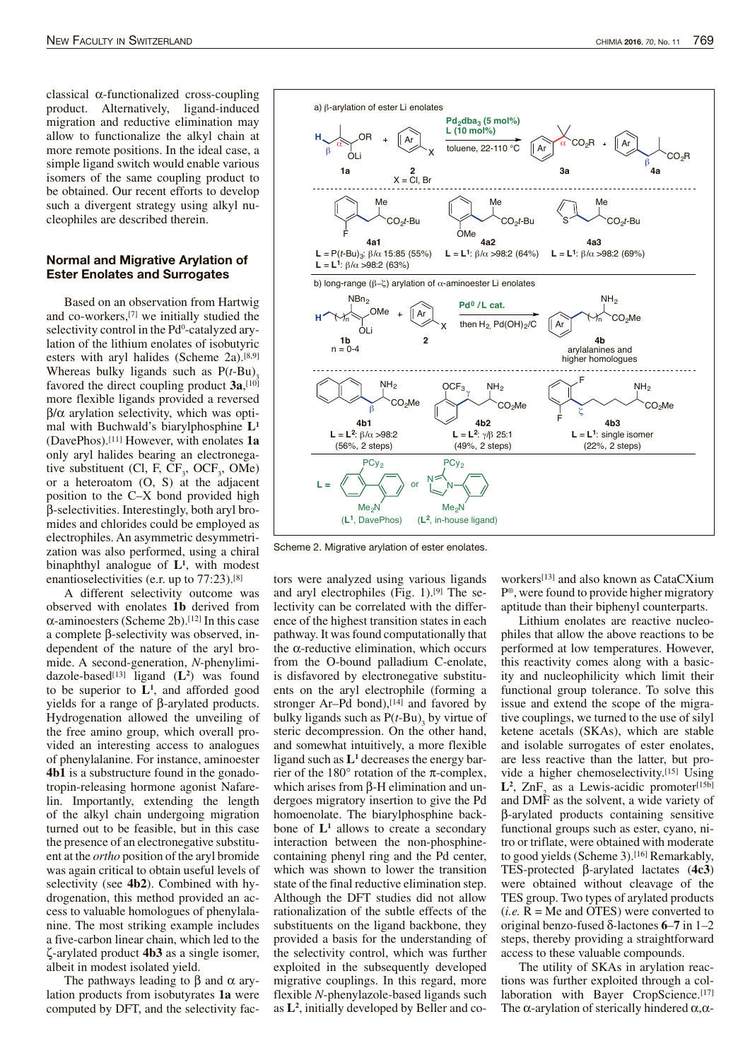classical α-functionalized cross-coupling product. Alternatively, ligand-induced migration and reductive elimination may allow to functionalize the alkyl chain at more remote positions. In the ideal case, a simple ligand switch would enable various isomers of the same coupling product to be obtained. Our recent efforts to develop such a divergent strategy using alkyl nucleophiles are described therein.

### Normal and Migrative Arylation of Ester Enolates and Surrogates

Based on an observation from Hartwig and co-workers,[7] we initially studied the selectivity control in the Pd<sup>0</sup>-catalyzed arylation of the lithium enolates of isobutyric esters with aryl halides (Scheme 2a).[8,9] Whereas bulky ligands such as  $P(t-Bu)$ <sub>3</sub> favored the direct coupling product **3a**, [10] more flexible ligands provided a reversed  $β/α$  arylation selectivity, which was optimal with Buchwald's biarylphosphine **L<sup>1</sup>** (DavePhos).[11] However, with enolates **1a** only aryl halides bearing an electronegative substituent (Cl, F,  $CF_3$ , OCF<sub>3</sub>, OMe) or a heteroatom (O, S) at the adjacent position to the C–X bond provided high β-selectivities. Interestingly, both aryl bromides and chlorides could be employed as electrophiles. An asymmetric desymmetrization was also performed, using a chiral binaphthyl analogue of **L<sup>1</sup>** , with modest enantioselectivities (e.r. up to 77:23).[8]

A different selectivity outcome was observed with enolates **1b** derived from  $\alpha$ -aminoesters (Scheme 2b).<sup>[12]</sup> In this case a complete β-selectivity was observed, independent of the nature of the aryl bromide. A second-generation, *N*-phenylimidazole-based[13] ligand (**L<sup>2</sup>** ) was found to be superior to  $L^1$ , and afforded good yields for a range of β-arylated products. Hydrogenation allowed the unveiling of the free amino group, which overall provided an interesting access to analogues of phenylalanine. For instance, aminoester **4b1** is a substructure found in the gonadotropin-releasing hormone agonist Nafarelin. Importantly, extending the length of the alkyl chain undergoing migration turned out to be feasible, but in this case the presence of an electronegative substituent atthe *ortho* position of the aryl bromide was again critical to obtain useful levels of selectivity (see **4b2**). Combined with hydrogenation, this method provided an access to valuable homologues of phenylalanine. The most striking example includes a five-carbon linear chain, which led to the ζ-arylated product **4b3** as a single isomer, albeit in modest isolated yield.

The pathways leading to β and  $\alpha$  arylation products from isobutyrates **1a** were computed by DFT, and the selectivity fac-



Scheme 2. Migrative arylation of ester enolates.

tors were analyzed using various ligands and aryl electrophiles (Fig. 1).[9] The selectivity can be correlated with the difference of the highest transition states in each pathway. It wasfound computationally that the  $α$ -reductive elimination, which occurs from the O-bound palladium C-enolate, is disfavored by electronegative substituents on the aryl electrophile (forming a stronger Ar–Pd bond), $[14]$  and favored by bulky ligands such as  $P(t-Bu)$ <sub>3</sub> by virtue of steric decompression. On the other hand, and somewhat intuitively, a more flexible ligand such as **L<sup>1</sup>** decreases the energy barrier of the  $180^\circ$  rotation of the  $\pi$ -complex, which arises from β-H elimination and undergoes migratory insertion to give the Pd homoenolate. The biarylphosphine backbone of **L<sup>1</sup>** allows to create a secondary interaction between the non-phosphinecontaining phenyl ring and the Pd center, which was shown to lower the transition state of the final reductive elimination step. Although the DFT studies did not allow rationalization of the subtle effects of the substituents on the ligand backbone, they provided a basis for the understanding of the selectivity control, which was further exploited in the subsequently developed migrative couplings. In this regard, more flexible *N*-phenylazole-based ligands such as **L<sup>2</sup>** , initially developed by Beller and coworkers[13] and also known as CataCXium P ® , were found to provide higher migratory aptitude than their biphenyl counterparts.

Lithium enolates are reactive nucleophiles that allow the above reactions to be performed at low temperatures. However, this reactivity comes along with a basicity and nucleophilicity which limit their functional group tolerance. To solve this issue and extend the scope of the migrative couplings, we turned to the use of silyl ketene acetals (SKAs), which are stable and isolable surrogates of ester enolates, are less reactive than the latter, but provide a higher chemoselectivity. [15] Using  $L^2$ ,  $\text{ZnF}_2$  as a Lewis-acidic promoter<sup>[15b]</sup> and DMF as the solvent, a wide variety of β-arylated products containing sensitive functional groups such as ester, cyano, nitro or triflate, were obtained with moderate to good yields (Scheme 3).<sup>[16]</sup> Remarkably, TES-protected β-arylated lactates (**4c3**) were obtained without cleavage of the TES group. Two types of arylated products  $(i.e. R = Me$  and OTES) were converted to original benzo-fused δ-lactones **6**–**7** in 1–2 steps, thereby providing a straightforward access to these valuable compounds.

The utility of SKAs in arylation reactions was further exploited through a collaboration with Bayer CropScience.<sup>[17]</sup> The  $\alpha$ -arylation of sterically hindered  $\alpha, \alpha$ -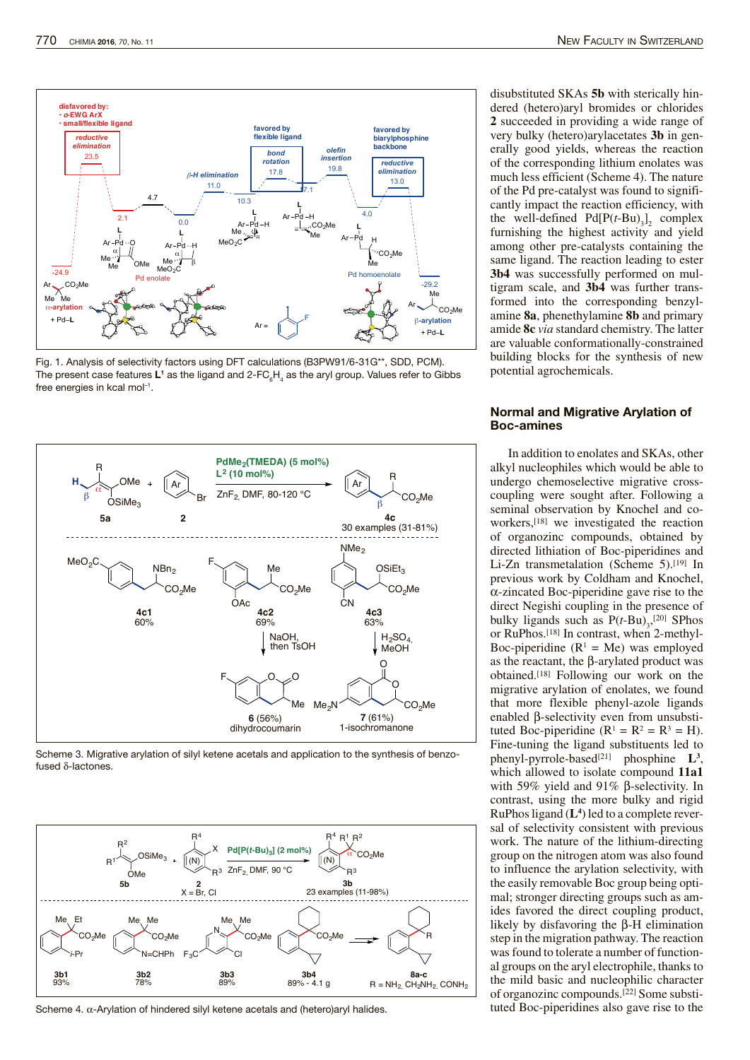

Fig. 1. Analysis of selectivity factors using DFT calculations (B3PW91/6-31G\*\*, SDD, PCM). The present case features L1 as the ligand and 2-FC $_{\rm 6}$ H<sub>4</sub> as the aryl group. Values refer to Gibbs free energies in kcal mol $^{-1}$ .



Scheme 3. Migrative arylation of silyl ketene acetals and application to the synthesis of benzofused δ-lactones.



Scheme 4. α-Arylation of hindered silyl ketene acetals and (hetero)aryl halides.

disubstituted SKAs **5b** with sterically hindered (hetero)aryl bromides or chlorides **2** succeeded in providing a wide range of very bulky (hetero)arylacetates **3b** in generally good yields, whereas the reaction of the corresponding lithium enolates was much less efficient (Scheme 4). The nature of the Pd pre-catalyst was found to significantly impact the reaction efficiency, with the well-defined  $Pd[P(t-Bu)]_2$  complex furnishing the highest activity and yield among other pre-catalysts containing the same ligand. The reaction leading to ester **3b4** was successfully performed on multigram scale, and **3b4** was further transformed into the corresponding benzylamine **8a**, phenethylamine **8b** and primary amide **8c** *via* standard chemistry. The latter are valuable conformationally-constrained building blocks for the synthesis of new potential agrochemicals.

## Normal and Migrative Arylation of Boc-amines

In addition to enolates and SKAs, other alkyl nucleophiles which would be able to undergo chemoselective migrative crosscoupling were sought after. Following a seminal observation by Knochel and coworkers,[18] we investigated the reaction of organozinc compounds, obtained by directed lithiation of Boc-piperidines and Li-Zn transmetalation (Scheme 5).<sup>[19]</sup> In previous work by Coldham and Knochel, α-zincated Boc-piperidine gave rise to the direct Negishi coupling in the presence of bulky ligands such as  $P(t-Bu)_{3}$ , [20] SPhos or RuPhos.[18] In contrast, when 2-methyl-Boc-piperidine  $(R<sup>1</sup> = Me)$  was employed as the reactant, the β-arylated product was obtained.[18] Following our work on the migrative arylation of enolates, we found that more flexible phenyl-azole ligands enabled β-selectivity even from unsubstituted Boc-piperidine  $(R^1 = R^2 = R^3 = H)$ . Fine-tuning the ligand substituents led to phenyl-pyrrole-based[21] phosphine **L<sup>3</sup>** , which allowed to isolate compound **11a1** with 59% yield and 91% β-selectivity. In contrast, using the more bulky and rigid RuPhosligand (**L<sup>4</sup>** ) led to a complete reversal of selectivity consistent with previous work. The nature of the lithium-directing group on the nitrogen atom was also found to influence the arylation selectivity, with the easily removable Boc group being optimal; stronger directing groups such as amides favored the direct coupling product, likely by disfavoring the β-H elimination step in the migration pathway. The reaction was found to tolerate a number of functional groups on the aryl electrophile, thanks to the mild basic and nucleophilic character of organozinc compounds.<sup>[22]</sup> Some substituted Boc-piperidines also gave rise to the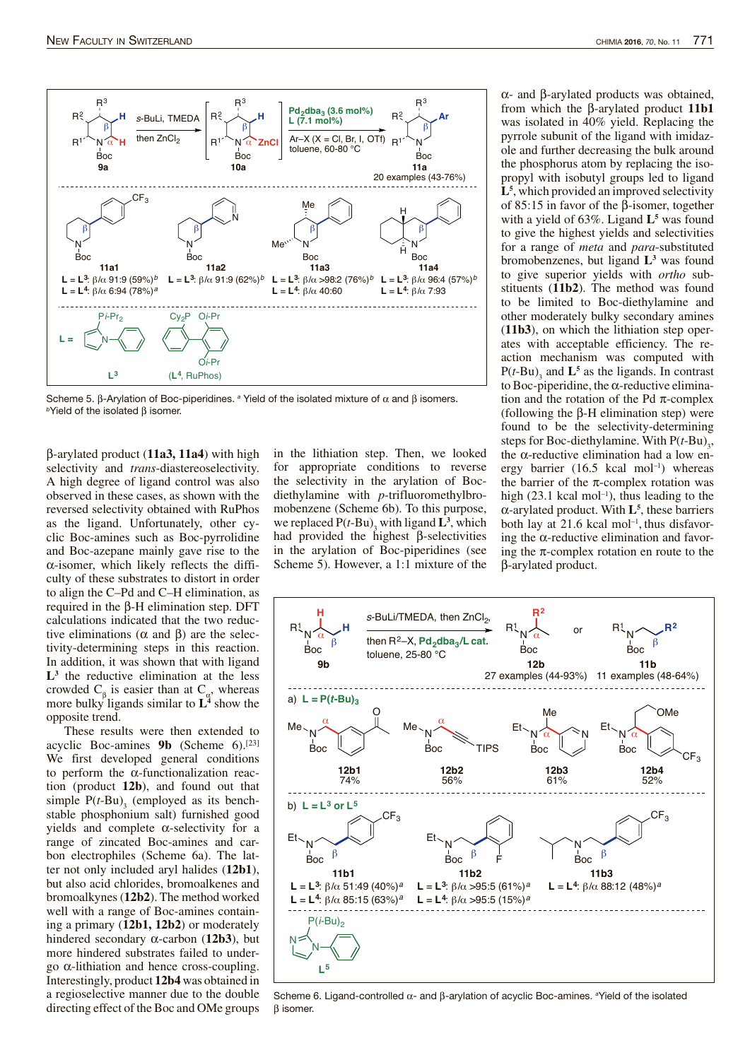

Scheme 5. β-Arylation of Boc-piperidines. <sup>a</sup> Yield of the isolated mixture of  $\alpha$  and β isomers.  $<sup>b</sup>$ Yield of the isolated β isomer.</sup>

β-arylated product (**11a3, 11a4**) with high selectivity and *trans*-diastereoselectivity. A high degree of ligand control was also observed in these cases, as shown with the reversed selectivity obtained with RuPhos as the ligand. Unfortunately, other cyclic Boc-amines such as Boc-pyrrolidine and Boc-azepane mainly gave rise to the α-isomer, which likely reflects the difficulty of these substrates to distort in order to align the C–Pd and C–H elimination, as required in the β-H elimination step. DFT calculations indicated that the two reductive eliminations ( $\alpha$  and  $\beta$ ) are the selectivity-determining steps in this reaction. In addition, it was shown that with ligand **L3** the reductive elimination at the less crowded  $C_{\beta}$  is easier than at  $C_{\alpha}$ , whereas more bulky ligands similar to **L<sup>4</sup>** show the opposite trend.

These results were then extended to acyclic Boc-amines **9b** (Scheme 6).[23] We first developed general conditions to perform the  $\alpha$ -functionalization reaction (product **12b**), and found out that simple  $P(t-Bu)$ <sub>3</sub> (employed as its benchstable phosphonium salt) furnished good yields and complete  $\alpha$ -selectivity for a range of zincated Boc-amines and carbon electrophiles (Scheme 6a). The latter not only included aryl halides (**12b1**), but also acid chlorides, bromoalkenes and bromoalkynes(**12b2**). The method worked well with a range of Boc-amines containing a primary (**12b1, 12b2**) or moderately hindered secondary α-carbon (**12b3**), but more hindered substrates failed to undergo α-lithiation and hence cross-coupling. Interestingly, product **12b4** was obtained in a regioselective manner due to the double directing effect of the Boc and OMe groups in the lithiation step. Then, we looked for appropriate conditions to reverse the selectivity in the arylation of Bocdiethylamine with *p*-trifluoromethylbromobenzene (Scheme 6b). To this purpose, we replaced  $P(t-Bu)$ <sub>3</sub> with ligand  $L^3$ , which had provided the highest β-selectivities in the arylation of Boc-piperidines (see Scheme 5). However, a 1:1 mixture of the α- and β-arylated products was obtained, from which the β-arylated product **11b1** was isolated in 40% yield. Replacing the pyrrole subunit of the ligand with imidazole and further decreasing the bulk around the phosphorus atom by replacing the isopropyl with isobutyl groups led to ligand **L5** , which provided an improved selectivity of 85:15 in favor of the β-isomer, together with a yield of 63%. Ligand **L<sup>5</sup>** was found to give the highest yields and selectivities for a range of *meta* and *para*-substituted bromobenzenes, but ligand **L<sup>3</sup>** was found to give superior yields with *ortho* substituents (**11b2**). The method was found to be limited to Boc-diethylamine and other moderately bulky secondary amines (**11b3**), on which the lithiation step operates with acceptable efficiency. The reaction mechanism was computed with  $P(t-Bu)$ <sub>3</sub> and  $L^5$  as the ligands. In contrast to Boc-piperidine, the  $\alpha$ -reductive elimination and the rotation of the Pd  $\pi$ -complex (following the β-H elimination step) were found to be the selectivity-determining steps for Boc-diethylamine. With  $P(t-Bu)_{3}$ , the α-reductive elimination had a low energy barrier (16.5 kcal mol<sup>-1</sup>) whereas the barrier of the  $\pi$ -complex rotation was high  $(23.1 \text{ kcal mol}^{-1})$ , thus leading to the α-arylated product. With **L<sup>5</sup>** , these barriers both lay at 21.6 kcal mol<sup>-1</sup>, thus disfavoring the  $\alpha$ -reductive elimination and favoring the  $\pi$ -complex rotation en route to the β-arylated product.



Scheme 6. Ligand-controlled α- and β-arylation of acyclic Boc-amines. <sup>a</sup>Yield of the isolated β isomer.